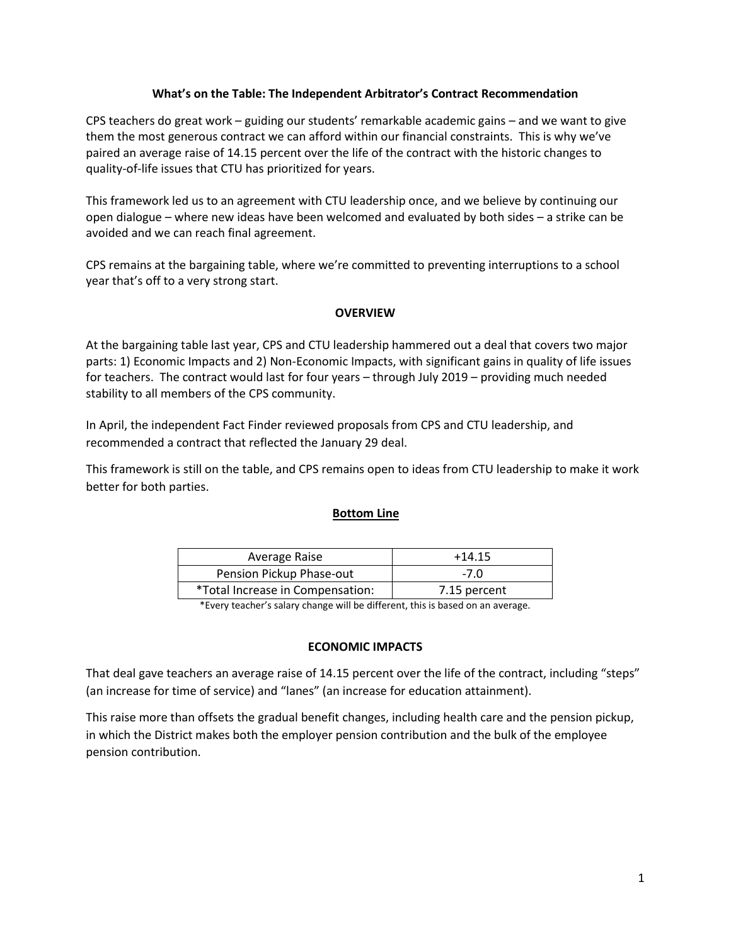## **What's on the Table: The Independent Arbitrator's Contract Recommendation**

CPS teachers do great work – guiding our students' remarkable academic gains – and we want to give them the most generous contract we can afford within our financial constraints. This is why we've paired an average raise of 14.15 percent over the life of the contract with the historic changes to quality-of-life issues that CTU has prioritized for years.

This framework led us to an agreement with CTU leadership once, and we believe by continuing our open dialogue – where new ideas have been welcomed and evaluated by both sides – a strike can be avoided and we can reach final agreement.

CPS remains at the bargaining table, where we're committed to preventing interruptions to a school year that's off to a very strong start.

## **OVERVIEW**

At the bargaining table last year, CPS and CTU leadership hammered out a deal that covers two major parts: 1) Economic Impacts and 2) Non-Economic Impacts, with significant gains in quality of life issues for teachers. The contract would last for four years – through July 2019 – providing much needed stability to all members of the CPS community.

In April, the independent Fact Finder reviewed proposals from CPS and CTU leadership, and recommended a contract that reflected the January 29 deal.

This framework is still on the table, and CPS remains open to ideas from CTU leadership to make it work better for both parties.

## **Bottom Line**

| Average Raise                    | $+14.15$     |  |
|----------------------------------|--------------|--|
| Pension Pickup Phase-out         | $-7.0$       |  |
| *Total Increase in Compensation: | 7.15 percent |  |

\*Every teacher's salary change will be different, this is based on an average.

## **ECONOMIC IMPACTS**

That deal gave teachers an average raise of 14.15 percent over the life of the contract, including "steps" (an increase for time of service) and "lanes" (an increase for education attainment).

This raise more than offsets the gradual benefit changes, including health care and the pension pickup, in which the District makes both the employer pension contribution and the bulk of the employee pension contribution.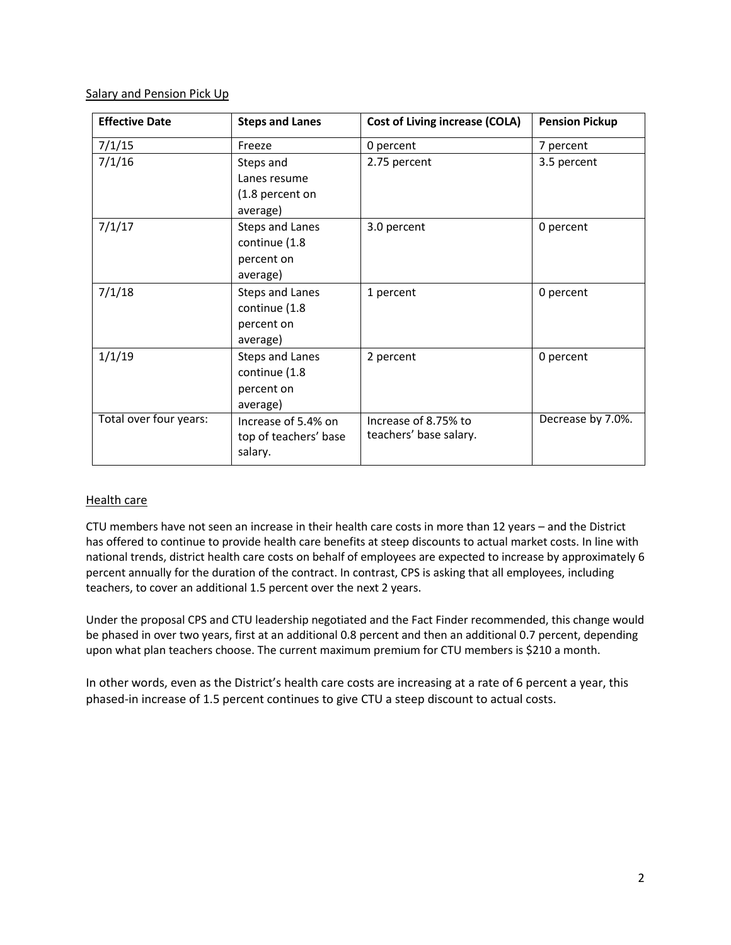Salary and Pension Pick Up

| <b>Effective Date</b>  | <b>Steps and Lanes</b>                                     | <b>Cost of Living increase (COLA)</b>          | <b>Pension Pickup</b> |
|------------------------|------------------------------------------------------------|------------------------------------------------|-----------------------|
| 7/1/15                 | Freeze                                                     | 0 percent                                      | 7 percent             |
| 7/1/16                 | Steps and<br>Lanes resume<br>(1.8 percent on               | 2.75 percent                                   | 3.5 percent           |
|                        | average)                                                   |                                                |                       |
| 7/1/17                 | Steps and Lanes<br>continue (1.8<br>percent on<br>average) | 3.0 percent                                    | 0 percent             |
| 7/1/18                 | Steps and Lanes<br>continue (1.8<br>percent on<br>average) | 1 percent                                      | 0 percent             |
| 1/1/19                 | Steps and Lanes<br>continue (1.8<br>percent on<br>average) | 2 percent                                      | 0 percent             |
| Total over four years: | Increase of 5.4% on<br>top of teachers' base<br>salary.    | Increase of 8.75% to<br>teachers' base salary. | Decrease by 7.0%.     |

## Health care

CTU members have not seen an increase in their health care costs in more than 12 years – and the District has offered to continue to provide health care benefits at steep discounts to actual market costs. In line with national trends, district health care costs on behalf of employees are expected to increase by approximately 6 percent annually for the duration of the contract. In contrast, CPS is asking that all employees, including teachers, to cover an additional 1.5 percent over the next 2 years.

Under the proposal CPS and CTU leadership negotiated and the Fact Finder recommended, this change would be phased in over two years, first at an additional 0.8 percent and then an additional 0.7 percent, depending upon what plan teachers choose. The current maximum premium for CTU members is \$210 a month.

In other words, even as the District's health care costs are increasing at a rate of 6 percent a year, this phased-in increase of 1.5 percent continues to give CTU a steep discount to actual costs.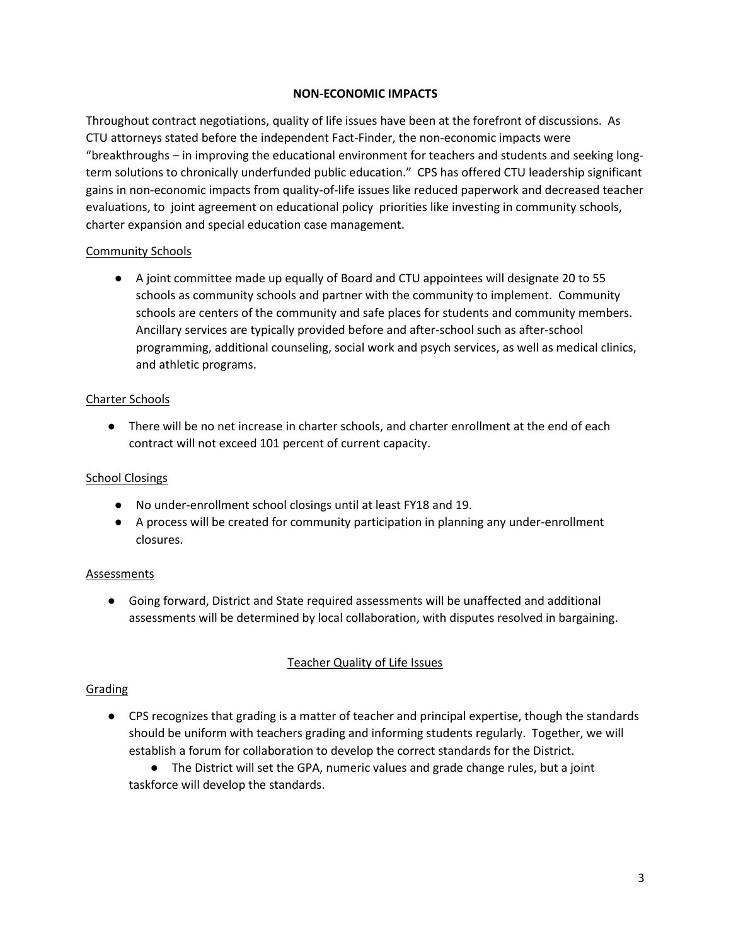## **NON-ECONOMIC IMPACTS**

Throughout contract negotiations, quality of life issues have been at the forefront of discussions. As CTU attorneys stated before the independent Fact-Finder, the non-economic impacts were "breakthroughs – in improving the educational environment for teachers and students and seeking longterm solutions to chronically underfunded public education." CPS has offered CTU leadership significant gains in non-economic impacts from quality-of-life issues like reduced paperwork and decreased teacher evaluations, to joint agreement on educational policy priorities like investing in community schools, charter expansion and special education case management.

## Community Schools

● A joint committee made up equally of Board and CTU appointees will designate 20 to 55 schools as community schools and partner with the community to implement. Community schools are centers of the community and safe places for students and community members. Ancillary services are typically provided before and after-school such as after-school programming, additional counseling, social work and psych services, as well as medical clinics, and athletic programs.

## Charter Schools

● There will be no net increase in charter schools, and charter enrollment at the end of each contract will not exceed 101 percent of current capacity.

## School Closings

- No under-enrollment school closings until at least FY18 and 19.
- A process will be created for community participation in planning any under-enrollment closures.

## Assessments

● Going forward, District and State required assessments will be unaffected and additional assessments will be determined by local collaboration, with disputes resolved in bargaining.

# Teacher Quality of Life Issues

# **Grading**

- CPS recognizes that grading is a matter of teacher and principal expertise, though the standards should be uniform with teachers grading and informing students regularly. Together, we will establish a forum for collaboration to develop the correct standards for the District.
	- The District will set the GPA, numeric values and grade change rules, but a joint taskforce will develop the standards.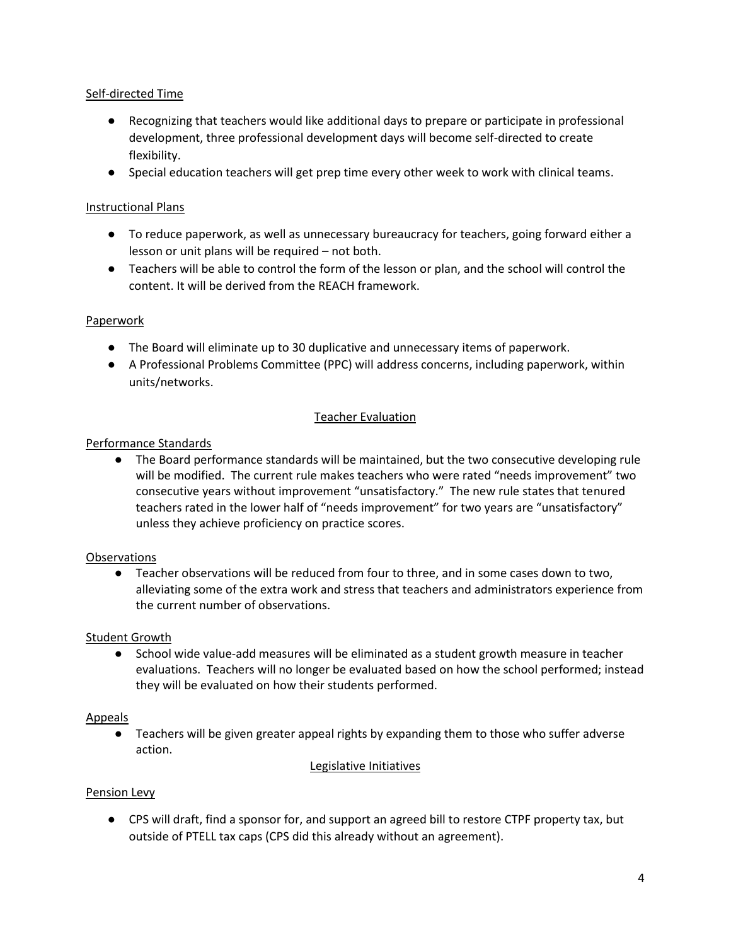# Self-directed Time

- Recognizing that teachers would like additional days to prepare or participate in professional development, three professional development days will become self-directed to create flexibility.
- Special education teachers will get prep time every other week to work with clinical teams.

## Instructional Plans

- To reduce paperwork, as well as unnecessary bureaucracy for teachers, going forward either a lesson or unit plans will be required – not both.
- Teachers will be able to control the form of the lesson or plan, and the school will control the content. It will be derived from the REACH framework.

## **Paperwork**

- The Board will eliminate up to 30 duplicative and unnecessary items of paperwork.
- A Professional Problems Committee (PPC) will address concerns, including paperwork, within units/networks.

## Teacher Evaluation

## Performance Standards

● The Board performance standards will be maintained, but the two consecutive developing rule will be modified. The current rule makes teachers who were rated "needs improvement" two consecutive years without improvement "unsatisfactory." The new rule states that tenured teachers rated in the lower half of "needs improvement" for two years are "unsatisfactory" unless they achieve proficiency on practice scores.

## **Observations**

● Teacher observations will be reduced from four to three, and in some cases down to two, alleviating some of the extra work and stress that teachers and administrators experience from the current number of observations.

## Student Growth

● School wide value-add measures will be eliminated as a student growth measure in teacher evaluations. Teachers will no longer be evaluated based on how the school performed; instead they will be evaluated on how their students performed.

## Appeals

● Teachers will be given greater appeal rights by expanding them to those who suffer adverse action.

## Legislative Initiatives

## Pension Levy

● CPS will draft, find a sponsor for, and support an agreed bill to restore CTPF property tax, but outside of PTELL tax caps (CPS did this already without an agreement).